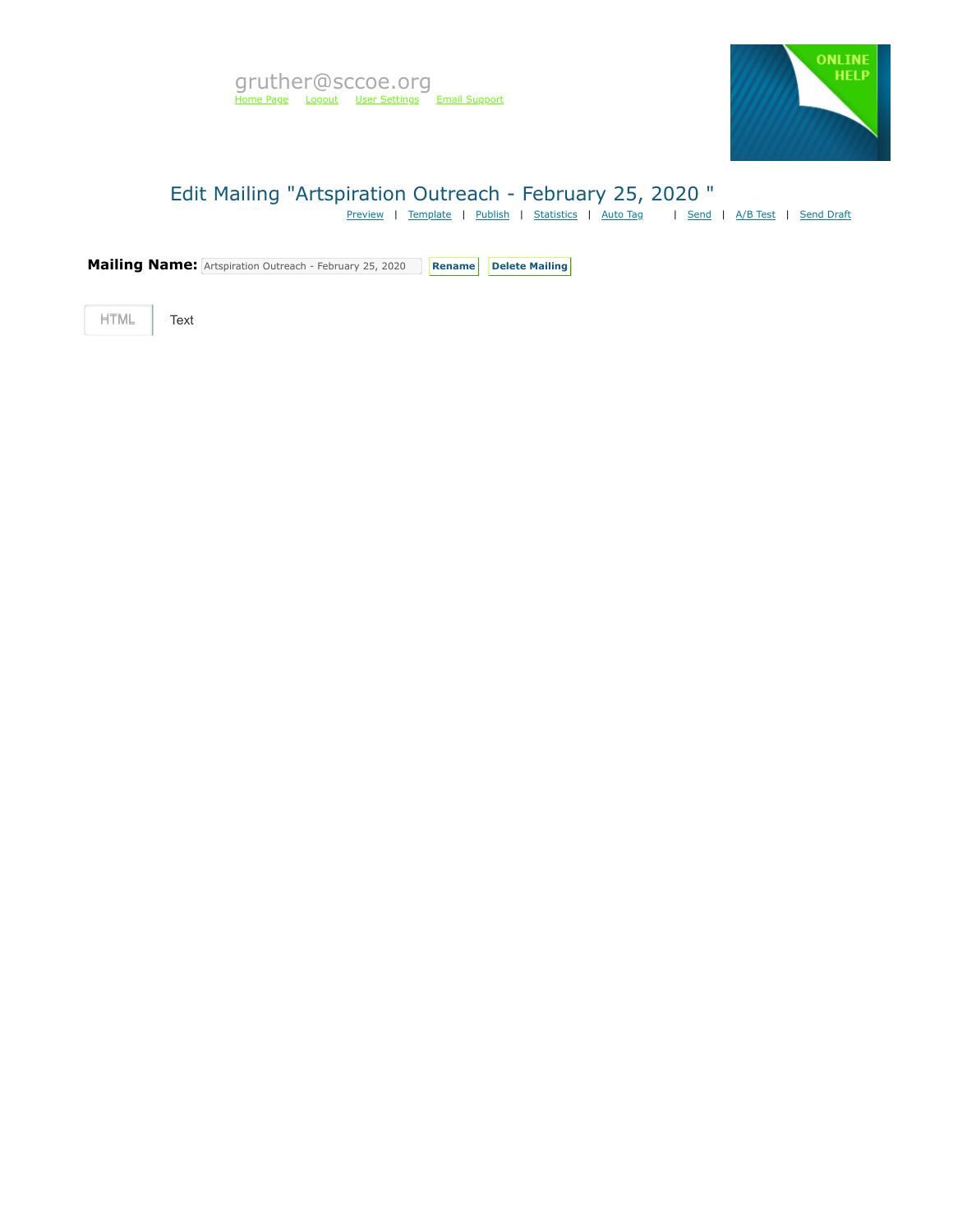

# Edit Mailing "Artspiration Outreach - February 25, 2020 "

[Preview](https://mvapp.marketvolt.com/Mailing/Preview/711576) | [Template](https://mvapp.marketvolt.com/TemplatePreview.aspx?TemplateId=35366) | [Publish](https://mvapp.marketvolt.com/Mailing/Publish/711576) | [Statistics](https://mvapp.marketvolt.com/StatsMailing.aspx?MailingID=711576) | [Auto Tag](https://mvapp.marketvolt.com/AutoAssign.aspx?MailingID=711576) | | [Send](https://mvapp.marketvolt.com/Mailing/Schedule/711576) | [A/B Test](https://mvapp.marketvolt.com/SplitTest/Create/711576) | [Send Draft](https://mvapp.marketvolt.com/SendDraft.aspx?MailingID=711576)

**Mailing Name:** Artspiration Outreach - February 25, 2020 **Rename** Delete Mailing

HTML **Text**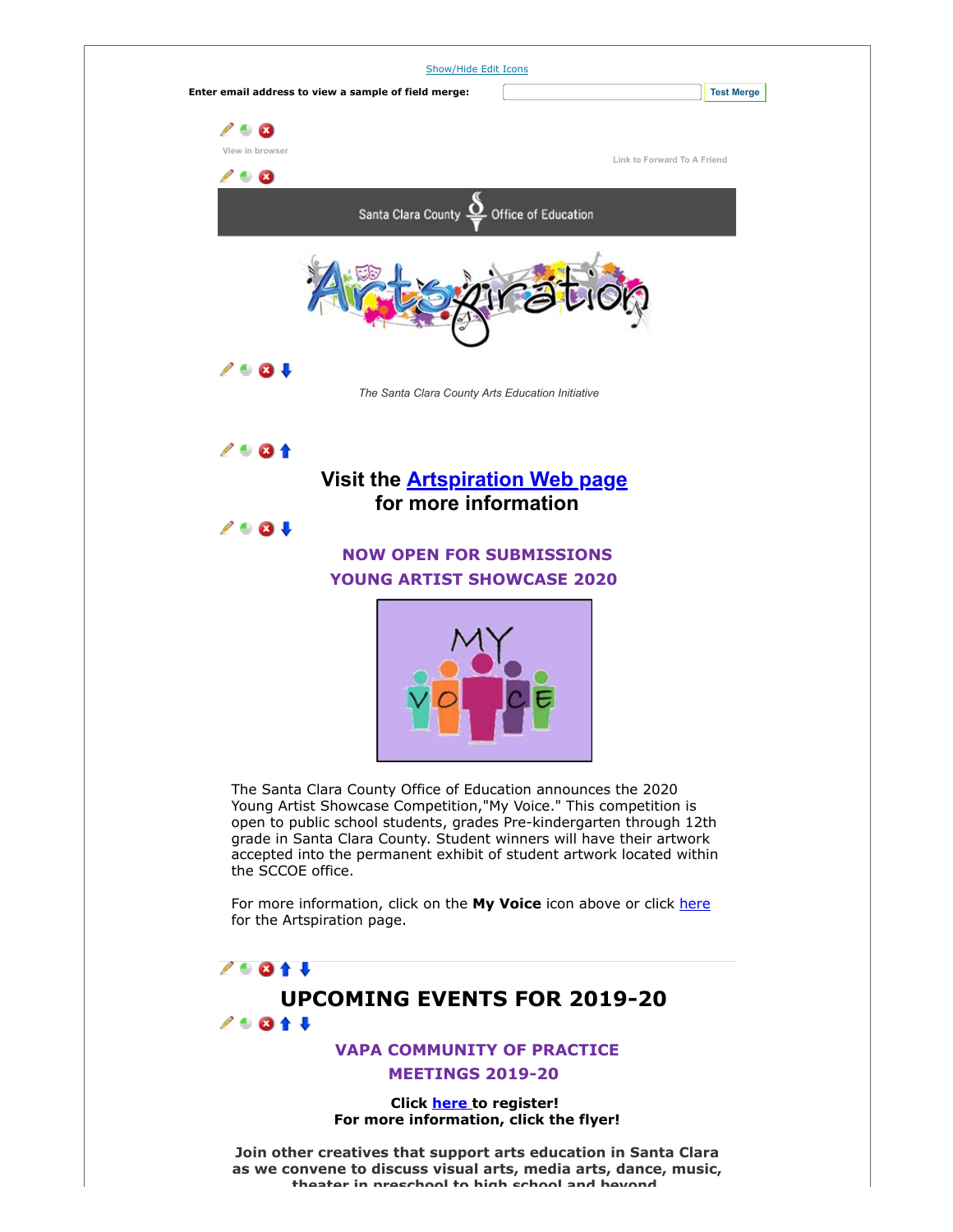

**Click [here t](https://custapp.marketvolt.com/link/rDSzS5Xgf8?CM=0&X=PREVIEW)o register! For more information, click the flyer!**

**Join other creatives that support arts education in Santa Clara as we convene to discuss visual arts, media arts, dance, music, theater in preschool to high school and beyond**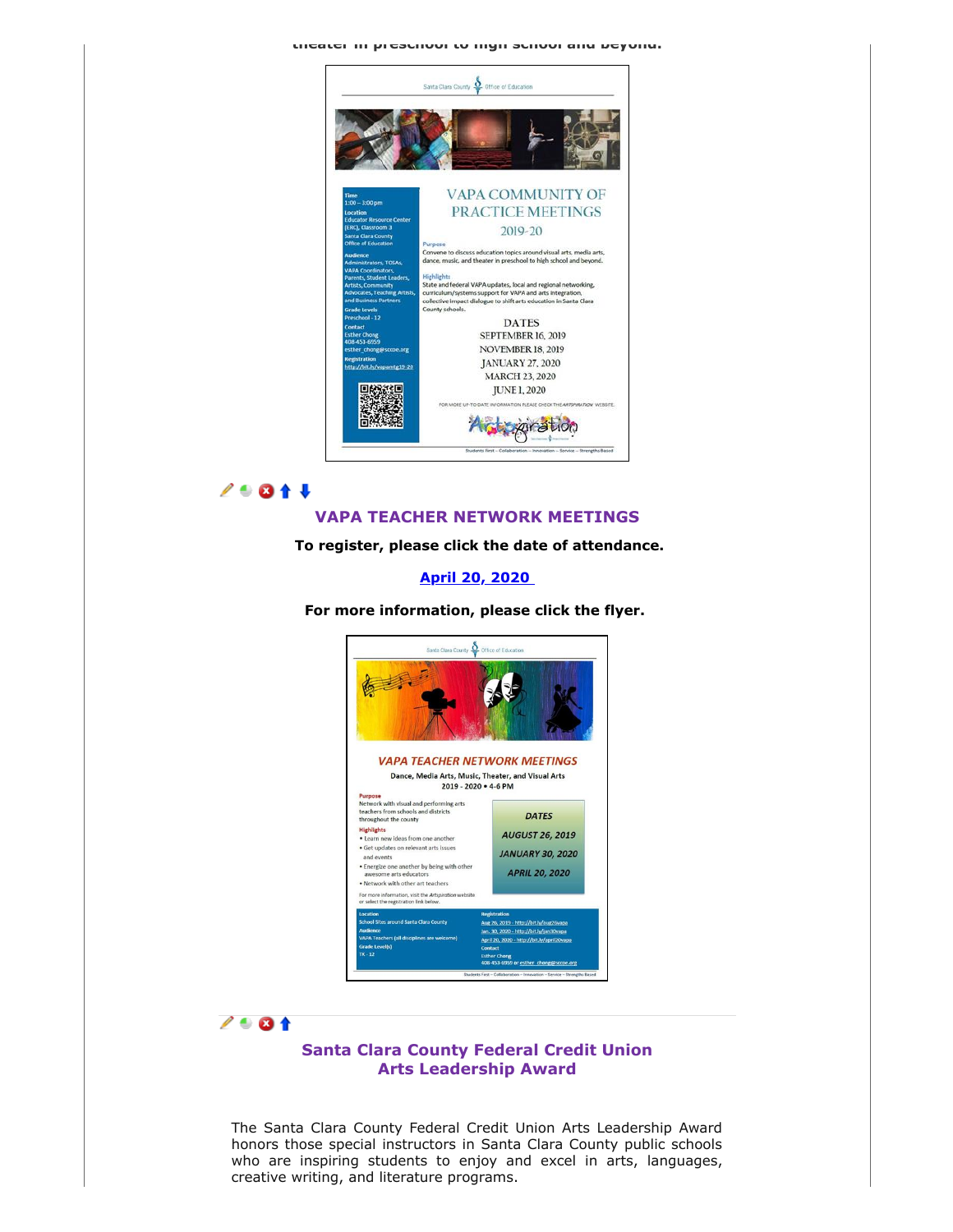#### **theater in preschool to high school and beyond.**



## 29014

### **VAPA TEACHER NETWORK MEETINGS**

**To register, please click the date of attendance.**

**[April 20, 2020](https://custapp.marketvolt.com/link/X6HhT39vr6?CM=0&X=PREVIEW)** 

**For more information, please click the flyer.** 





## **Santa Clara County Federal Credit Union Arts Leadership Award**

The Santa Clara County Federal Credit Union Arts Leadership Award honors those special instructors in Santa Clara County public schools who are inspiring students to enjoy and excel in arts, languages, creative writing, and literature programs.